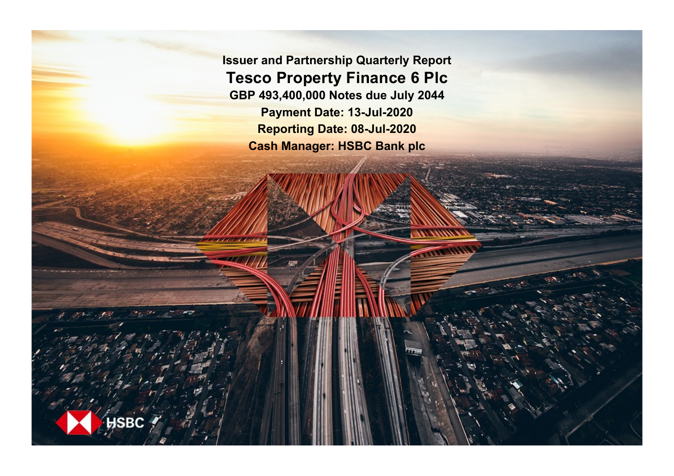**Issuer and Partnership Quarterly Report Tesco Property Finance 6 Plc GBP 493,400,000 Notes due July 2044 Payment Date: 13-Jul-2020 Reporting Date: 08-Jul-2020 Cash Manager: HSBC Bank plc**

**SRC**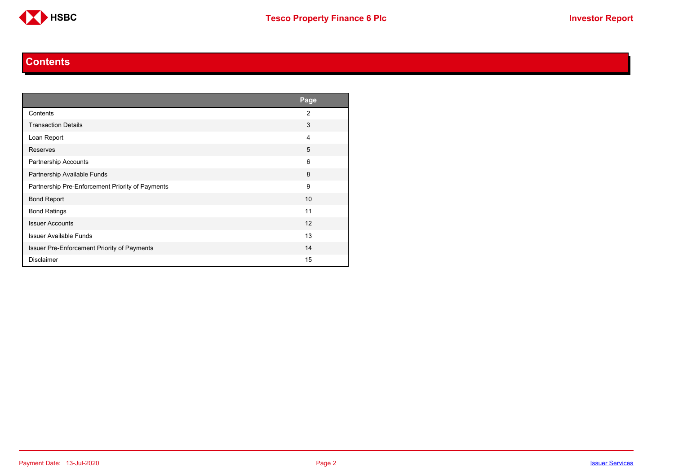

#### **Contents**

<span id="page-1-0"></span>

|                                                    | Page           |
|----------------------------------------------------|----------------|
| Contents                                           | $\overline{2}$ |
| <b>Transaction Details</b>                         | 3              |
| Loan Report                                        | 4              |
| <b>Reserves</b>                                    | 5              |
| Partnership Accounts                               | 6              |
| Partnership Available Funds                        | 8              |
| Partnership Pre-Enforcement Priority of Payments   | 9              |
| <b>Bond Report</b>                                 | 10             |
| <b>Bond Ratings</b>                                | 11             |
| <b>Issuer Accounts</b>                             | 12             |
| <b>Issuer Available Funds</b>                      | 13             |
| <b>Issuer Pre-Enforcement Priority of Payments</b> | 14             |
| <b>Disclaimer</b>                                  | 15             |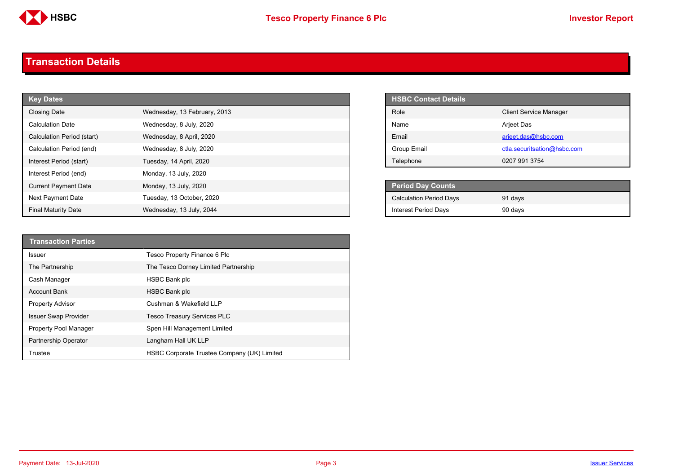

#### <span id="page-2-0"></span>**Transaction Details**

| <b>Key Dates</b>            |                              | <b>HSBC Contact Details</b>    |
|-----------------------------|------------------------------|--------------------------------|
| Closing Date                | Wednesday, 13 February, 2013 | Role                           |
| <b>Calculation Date</b>     | Wednesday, 8 July, 2020      | Name                           |
| Calculation Period (start)  | Wednesday, 8 April, 2020     | Email                          |
| Calculation Period (end)    | Wednesday, 8 July, 2020      | Group Email                    |
| Interest Period (start)     | Tuesday, 14 April, 2020      | Telephone                      |
| Interest Period (end)       | Monday, 13 July, 2020        |                                |
| <b>Current Payment Date</b> | Monday, 13 July, 2020        | <b>Period Day Counts</b>       |
| Next Payment Date           | Tuesday, 13 October, 2020    | <b>Calculation Period Days</b> |
| <b>Final Maturity Date</b>  | Wednesday, 13 July, 2044     | <b>Interest Period Days</b>    |

| <b>HSBC Contact Details</b> |                               |
|-----------------------------|-------------------------------|
| Role                        | <b>Client Service Manager</b> |
| Name                        | <b>Arjeet Das</b>             |
| <b>Fmail</b>                | arjeet.das@hsbc.com           |
| Group Email                 | ctla.securitsation@hsbc.com   |
| Telephone                   | 0207 991 3754                 |

| <b>Period Day Counts</b>       |         |
|--------------------------------|---------|
| <b>Calculation Period Days</b> | 91 days |
| Interest Period Days           | 90 days |

| <b>Transaction Parties</b>  |                                             |
|-----------------------------|---------------------------------------------|
| Issuer                      | Tesco Property Finance 6 Plc                |
| The Partnership             | The Tesco Dorney Limited Partnership        |
| Cash Manager                | HSBC Bank plc                               |
| <b>Account Bank</b>         | <b>HSBC Bank plc</b>                        |
| <b>Property Advisor</b>     | Cushman & Wakefield LLP                     |
| <b>Issuer Swap Provider</b> | <b>Tesco Treasury Services PLC</b>          |
| Property Pool Manager       | Spen Hill Management Limited                |
| Partnership Operator        | Langham Hall UK LLP                         |
| Trustee                     | HSBC Corporate Trustee Company (UK) Limited |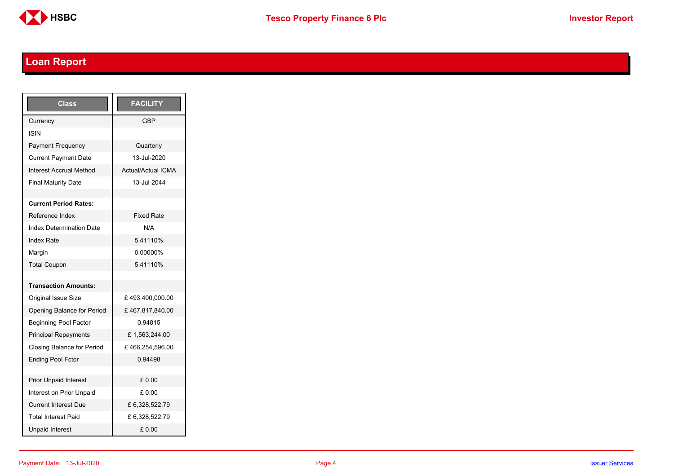

## <span id="page-3-0"></span>**Loan Report**

| Class                           | <b>FACILITY</b>           |
|---------------------------------|---------------------------|
| Currency                        | GBP                       |
| <b>ISIN</b>                     |                           |
| <b>Payment Frequency</b>        | Quarterly                 |
| <b>Current Payment Date</b>     | 13-Jul-2020               |
| <b>Interest Accrual Method</b>  | <b>Actual/Actual ICMA</b> |
| <b>Final Maturity Date</b>      | 13-Jul-2044               |
|                                 |                           |
| <b>Current Period Rates:</b>    |                           |
| Reference Index                 | <b>Fixed Rate</b>         |
| <b>Index Determination Date</b> | N/A                       |
| <b>Index Rate</b>               | 5.41110%                  |
| Margin                          | 0.00000%                  |
| <b>Total Coupon</b>             | 5.41110%                  |
|                                 |                           |
| <b>Transaction Amounts:</b>     |                           |
| <b>Original Issue Size</b>      | £493,400,000.00           |
| Opening Balance for Period      | £467,817,840.00           |
| <b>Beginning Pool Factor</b>    | 0.94815                   |
| <b>Principal Repayments</b>     | £1,563,244.00             |
| Closing Balance for Period      | £466,254,596.00           |
| <b>Ending Pool Fctor</b>        | 0.94498                   |
|                                 |                           |
| <b>Prior Unpaid Interest</b>    | £0.00                     |
| Interest on Prior Unpaid        | £ 0.00                    |
| <b>Current Interest Due</b>     | £6,328,522.79             |
| <b>Total Interest Paid</b>      | £ 6,328,522.79            |
| <b>Unpaid Interest</b>          | £0.00                     |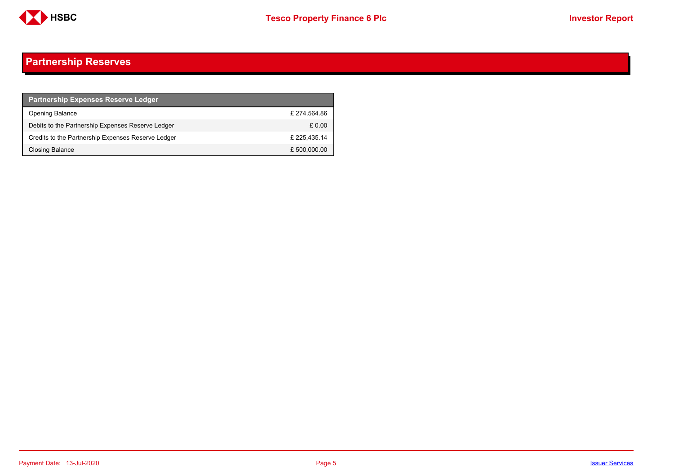

### <span id="page-4-0"></span>**Partnership Reserves**

| <b>Partnership Expenses Reserve Ledger</b>         |              |
|----------------------------------------------------|--------------|
| <b>Opening Balance</b>                             | £274.564.86  |
| Debits to the Partnership Expenses Reserve Ledger  | £ 0.00       |
| Credits to the Partnership Expenses Reserve Ledger | £ 225.435.14 |
| Closing Balance                                    | £ 500,000.00 |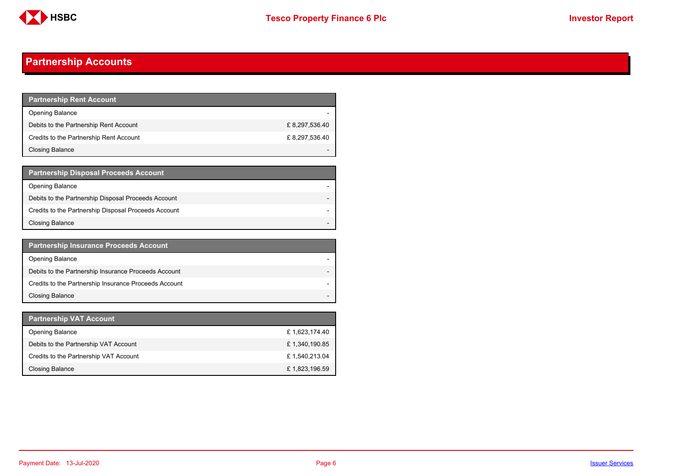

### <span id="page-5-0"></span>**Partnership Accounts**

| <b>Partnership Rent Account</b>         |               |
|-----------------------------------------|---------------|
| <b>Opening Balance</b>                  |               |
| Debits to the Partnership Rent Account  | £8,297,536.40 |
| Credits to the Partnership Rent Account | £8,297,536.40 |
| Closing Balance                         |               |

| <b>Partnership Disposal Proceeds Account</b>         |  |
|------------------------------------------------------|--|
| Opening Balance                                      |  |
| Debits to the Partnership Disposal Proceeds Account  |  |
| Credits to the Partnership Disposal Proceeds Account |  |
| Closing Balance                                      |  |

| <b>Partnership Insurance Proceeds Account</b>         |  |
|-------------------------------------------------------|--|
| <b>Opening Balance</b>                                |  |
| Debits to the Partnership Insurance Proceeds Account  |  |
| Credits to the Partnership Insurance Proceeds Account |  |
| <b>Closing Balance</b>                                |  |

| <b>Partnership VAT Account</b>         |               |
|----------------------------------------|---------------|
| <b>Opening Balance</b>                 | £1,623,174.40 |
| Debits to the Partnership VAT Account  | £1,340,190.85 |
| Credits to the Partnership VAT Account | £1,540,213.04 |
| Closing Balance                        | £1,823,196.59 |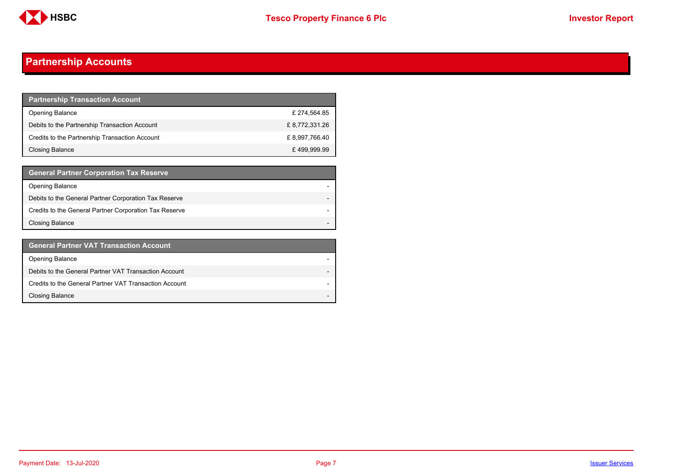

### **Partnership Accounts**

| <b>Partnership Transaction Account</b>         |                |
|------------------------------------------------|----------------|
| <b>Opening Balance</b>                         | £274.564.85    |
| Debits to the Partnership Transaction Account  | £ 8,772,331.26 |
| Credits to the Partnership Transaction Account | £8,997,766.40  |
| Closing Balance                                | £499,999.99    |

| <b>General Partner Corporation Tax Reserve</b>         |  |
|--------------------------------------------------------|--|
| <b>Opening Balance</b>                                 |  |
| Debits to the General Partner Corporation Tax Reserve  |  |
| Credits to the General Partner Corporation Tax Reserve |  |
| <b>Closing Balance</b>                                 |  |

| <b>General Partner VAT Transaction Account</b>         |  |
|--------------------------------------------------------|--|
| <b>Opening Balance</b>                                 |  |
| Debits to the General Partner VAT Transaction Account  |  |
| Credits to the General Partner VAT Transaction Account |  |
| <b>Closing Balance</b>                                 |  |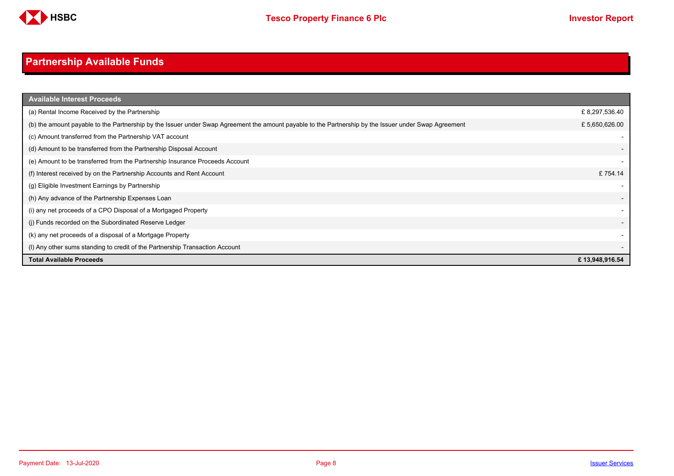

## <span id="page-7-0"></span>**Partnership Available Funds**

| <b>Available Interest Proceeds</b>                                                                                                                    |                |
|-------------------------------------------------------------------------------------------------------------------------------------------------------|----------------|
| (a) Rental Income Received by the Partnership                                                                                                         | £8,297,536.40  |
| (b) the amount payable to the Partnership by the Issuer under Swap Agreement the amount payable to the Partnership by the Issuer under Swap Agreement | £5,650,626.00  |
| (c) Amount transferred from the Partnership VAT account                                                                                               |                |
| (d) Amount to be transferred from the Partnership Disposal Account                                                                                    |                |
| (e) Amount to be transferred from the Partnership Insurance Proceeds Account                                                                          |                |
| (f) Interest received by on the Partnership Accounts and Rent Account                                                                                 | £754.14        |
| (g) Eligible Investment Earnings by Partnership                                                                                                       |                |
| (h) Any advance of the Partnership Expenses Loan                                                                                                      |                |
| (i) any net proceeds of a CPO Disposal of a Mortgaged Property                                                                                        |                |
| (j) Funds recorded on the Subordinated Reserve Ledger                                                                                                 |                |
| (k) any net proceeds of a disposal of a Mortgage Property                                                                                             |                |
| (I) Any other sums standing to credit of the Partnership Transaction Account                                                                          |                |
| <b>Total Available Proceeds</b>                                                                                                                       | £13,948,916.54 |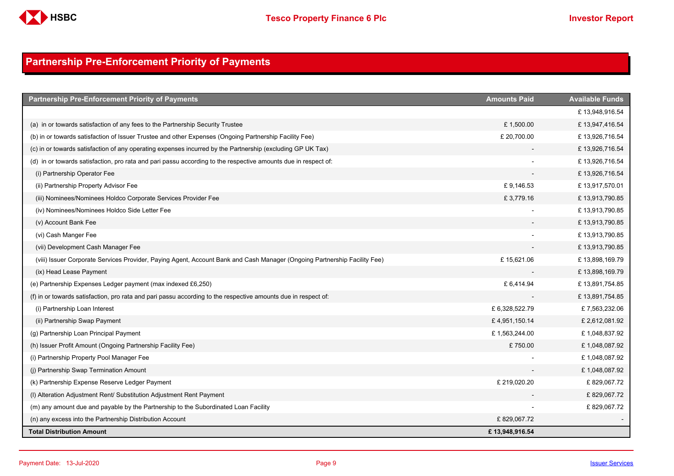

### <span id="page-8-0"></span>**Partnership Pre-Enforcement Priority of Payments**

| <b>Partnership Pre-Enforcement Priority of Payments</b>                                                                   | <b>Amounts Paid</b> | <b>Available Funds</b> |
|---------------------------------------------------------------------------------------------------------------------------|---------------------|------------------------|
|                                                                                                                           |                     | £13,948,916.54         |
| (a) in or towards satisfaction of any fees to the Partnership Security Trustee                                            | £1,500.00           | £13,947,416.54         |
| (b) in or towards satisfaction of Issuer Trustee and other Expenses (Ongoing Partnership Facility Fee)                    | £ 20,700.00         | £13,926,716.54         |
| (c) in or towards satisfaction of any operating expenses incurred by the Partnership (excluding GP UK Tax)                |                     | £13,926,716.54         |
| (d) in or towards satisfaction, pro rata and pari passu according to the respective amounts due in respect of:            |                     | £13,926,716.54         |
| (i) Partnership Operator Fee                                                                                              |                     | £13,926,716.54         |
| (ii) Partnership Property Advisor Fee                                                                                     | £9,146.53           | £13,917,570.01         |
| (iii) Nominees/Nominees Holdco Corporate Services Provider Fee                                                            | £3,779.16           | £13,913,790.85         |
| (iv) Nominees/Nominees Holdco Side Letter Fee                                                                             |                     | £13,913,790.85         |
| (v) Account Bank Fee                                                                                                      |                     | £13,913,790.85         |
| (vi) Cash Manger Fee                                                                                                      |                     | £13,913,790.85         |
| (vii) Development Cash Manager Fee                                                                                        |                     | £13,913,790.85         |
| (viii) Issuer Corporate Services Provider, Paying Agent, Account Bank and Cash Manager (Ongoing Partnership Facility Fee) | £15,621.06          | £13,898,169.79         |
| (ix) Head Lease Payment                                                                                                   |                     | £13,898,169.79         |
| (e) Partnership Expenses Ledger payment (max indexed £6,250)                                                              | £6,414.94           | £13,891,754.85         |
| (f) in or towards satisfaction, pro rata and pari passu according to the respective amounts due in respect of:            |                     | £13,891,754.85         |
| (i) Partnership Loan Interest                                                                                             | £6,328,522.79       | £7,563,232.06          |
| (ii) Partnership Swap Payment                                                                                             | £4,951,150.14       | £2,612,081.92          |
| (g) Partnership Loan Principal Payment                                                                                    | £1,563,244.00       | £1,048,837.92          |
| (h) Issuer Profit Amount (Ongoing Partnership Facility Fee)                                                               | £750.00             | £1,048,087.92          |
| (i) Partnership Property Pool Manager Fee                                                                                 |                     | £1,048,087.92          |
| (j) Partnership Swap Termination Amount                                                                                   |                     | £1,048,087.92          |
| (k) Partnership Expense Reserve Ledger Payment                                                                            | £ 219,020.20        | £829,067.72            |
| (I) Alteration Adjustment Rent/ Substitution Adjustment Rent Payment                                                      |                     | £829,067.72            |
| (m) any amount due and payable by the Partnership to the Subordinated Loan Facility                                       |                     | £829,067.72            |
| (n) any excess into the Partnership Distribution Account                                                                  | £829,067.72         |                        |
| <b>Total Distribution Amount</b>                                                                                          | £13,948,916.54      |                        |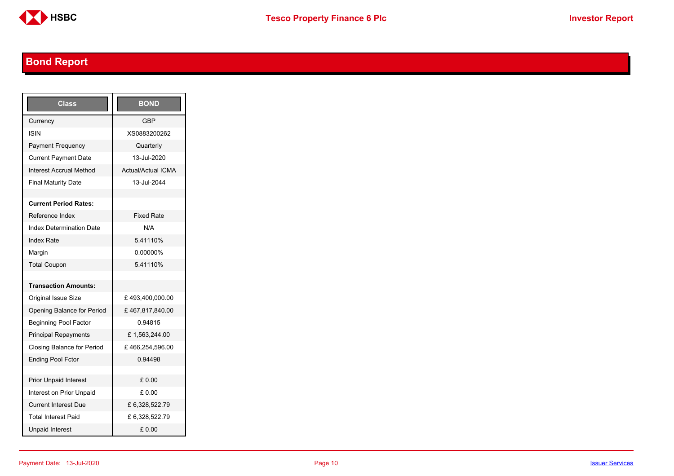

## <span id="page-9-0"></span>**Bond Report**

| Class                             | <b>BOND</b>               |
|-----------------------------------|---------------------------|
| Currency                          | <b>GBP</b>                |
| <b>ISIN</b>                       | XS0883200262              |
| <b>Payment Frequency</b>          | Quarterly                 |
| <b>Current Payment Date</b>       | 13-Jul-2020               |
| <b>Interest Accrual Method</b>    | <b>Actual/Actual ICMA</b> |
| <b>Final Maturity Date</b>        | 13-Jul-2044               |
|                                   |                           |
| <b>Current Period Rates:</b>      |                           |
| Reference Index                   | <b>Fixed Rate</b>         |
| <b>Index Determination Date</b>   | N/A                       |
| <b>Index Rate</b>                 | 5.41110%                  |
| Margin                            | 0.00000%                  |
| <b>Total Coupon</b>               | 5.41110%                  |
|                                   |                           |
| <b>Transaction Amounts:</b>       |                           |
| <b>Original Issue Size</b>        | £493,400,000.00           |
| Opening Balance for Period        | £467,817,840.00           |
| <b>Beginning Pool Factor</b>      | 0.94815                   |
| <b>Principal Repayments</b>       | £1,563,244.00             |
| <b>Closing Balance for Period</b> | £466,254,596.00           |
| <b>Ending Pool Fctor</b>          | 0.94498                   |
|                                   |                           |
| <b>Prior Unpaid Interest</b>      | £ 0.00                    |
| Interest on Prior Unpaid          | £ 0.00                    |
| <b>Current Interest Due</b>       | £6,328,522.79             |
| <b>Total Interest Paid</b>        | £ 6,328,522.79            |
| <b>Unpaid Interest</b>            | £0.00                     |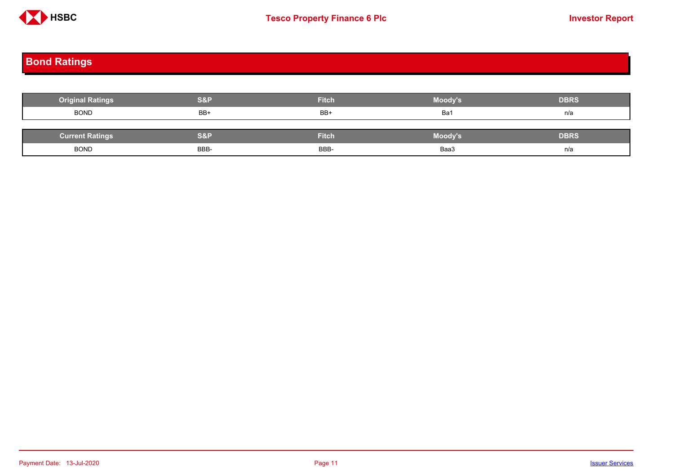

# <span id="page-10-0"></span>**Bond Ratings**

| <b>Original Ratings</b> | <b>S&amp;P</b> | <b>Fitch</b> | Moody's | <b>DBRS</b> |
|-------------------------|----------------|--------------|---------|-------------|
| <b>BOND</b>             | BB+            | BB+          | Ba1     | n/a         |
|                         |                |              |         |             |
| <b>Current Ratings</b>  | <b>S&amp;P</b> | <b>Fitch</b> | Moody's | <b>DBRS</b> |
| <b>BOND</b>             | BBB-           | BBB-         | Baa3    | n/a         |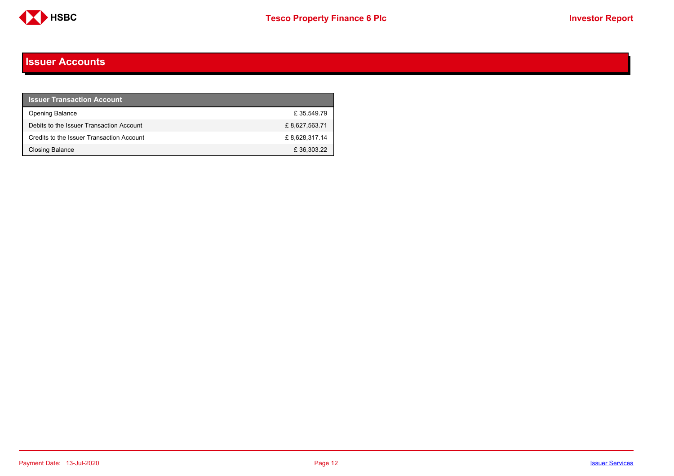

#### <span id="page-11-0"></span>**Issuer Accounts**

| <b>Issuer Transaction Account</b>         |               |
|-------------------------------------------|---------------|
| <b>Opening Balance</b>                    | £35.549.79    |
| Debits to the Issuer Transaction Account  | £8,627,563.71 |
| Credits to the Issuer Transaction Account | £8,628,317.14 |
| Closing Balance                           | £36,303.22    |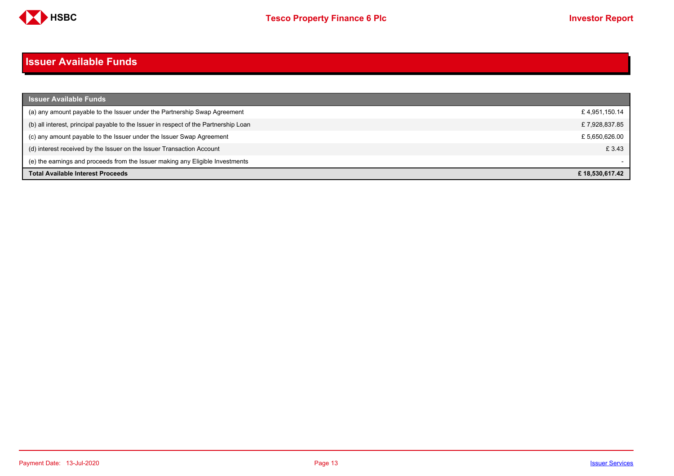

#### <span id="page-12-0"></span>**Issuer Available Funds**

| <b>Issuer Available Funds</b>                                                        |                |
|--------------------------------------------------------------------------------------|----------------|
| (a) any amount payable to the Issuer under the Partnership Swap Agreement            | £4,951,150.14  |
| (b) all interest, principal payable to the Issuer in respect of the Partnership Loan | £7,928,837.85  |
| (c) any amount payable to the Issuer under the Issuer Swap Agreement                 | £5,650,626.00  |
| (d) interest received by the Issuer on the Issuer Transaction Account                | £ 3.43         |
| (e) the earnings and proceeds from the Issuer making any Eligible Investments        |                |
| <b>Total Available Interest Proceeds</b>                                             | £18.530.617.42 |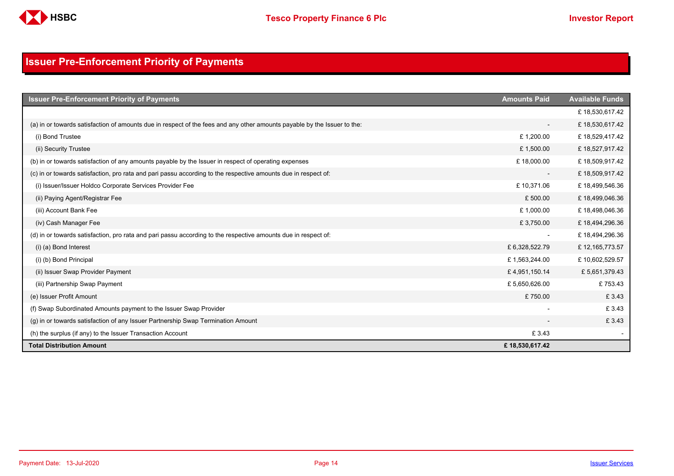

### <span id="page-13-0"></span>**Issuer Pre-Enforcement Priority of Payments**

| <b>Issuer Pre-Enforcement Priority of Payments</b>                                                                       | <b>Amounts Paid</b>      | <b>Available Funds</b> |
|--------------------------------------------------------------------------------------------------------------------------|--------------------------|------------------------|
|                                                                                                                          |                          | £18,530,617.42         |
| (a) in or towards satisfaction of amounts due in respect of the fees and any other amounts payable by the Issuer to the: | $\overline{\phantom{a}}$ | £18,530,617.42         |
| (i) Bond Trustee                                                                                                         | £1,200.00                | £18,529,417.42         |
| (ii) Security Trustee                                                                                                    | £1,500.00                | £18,527,917.42         |
| (b) in or towards satisfaction of any amounts payable by the Issuer in respect of operating expenses                     | £18,000.00               | £18,509,917.42         |
| (c) in or towards satisfaction, pro rata and pari passu according to the respective amounts due in respect of:           | $\overline{\phantom{a}}$ | £18,509,917.42         |
| (i) Issuer/Issuer Holdco Corporate Services Provider Fee                                                                 | £10,371.06               | £18,499,546.36         |
| (ii) Paying Agent/Registrar Fee                                                                                          | £500.00                  | £18,499,046.36         |
| (iii) Account Bank Fee                                                                                                   | £1,000.00                | £18,498,046.36         |
| (iv) Cash Manager Fee                                                                                                    | £3,750.00                | £18,494,296.36         |
| (d) in or towards satisfaction, pro rata and pari passu according to the respective amounts due in respect of:           | $\overline{\phantom{a}}$ | £18,494,296.36         |
| (i) (a) Bond Interest                                                                                                    | £ 6,328,522.79           | £12,165,773.57         |
| (i) (b) Bond Principal                                                                                                   | £1,563,244.00            | £10,602,529.57         |
| (ii) Issuer Swap Provider Payment                                                                                        | £4,951,150.14            | £5,651,379.43          |
| (iii) Partnership Swap Payment                                                                                           | £5,650,626.00            | £753.43                |
| (e) Issuer Profit Amount                                                                                                 | £750.00                  | £3.43                  |
| (f) Swap Subordinated Amounts payment to the Issuer Swap Provider                                                        |                          | £3.43                  |
| (g) in or towards satisfaction of any Issuer Partnership Swap Termination Amount                                         |                          | £3.43                  |
| (h) the surplus (if any) to the Issuer Transaction Account                                                               | £3.43                    |                        |
| <b>Total Distribution Amount</b>                                                                                         | £18,530,617.42           |                        |